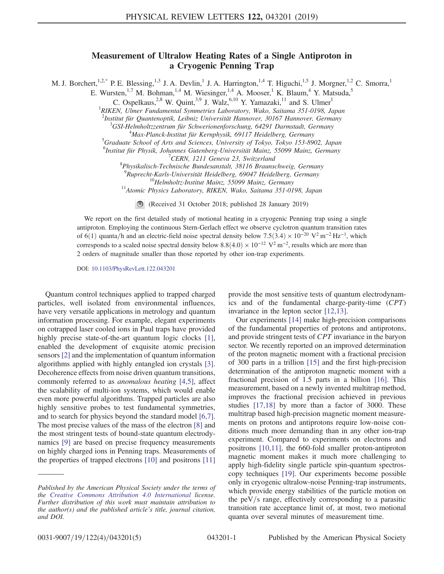## Measurement of Ultralow Heating Rates of a Single Antiproton in  $\alpha$  cryogenic Penning Trap

<span id="page-0-0"></span>M. J. Borchert,<sup>1,[2,\\*](#page-4-0)</sup> P. E. Blessing,<sup>1,3</sup> J. A. Devlin,<sup>1</sup> J. A. Harrington,<sup>1,4</sup> T. Higuchi,<sup>1,5</sup> J. Morgner,<sup>1,2</sup> C. Smorra,<sup>1</sup>

E. Wursten,<sup>1,7</sup> M. Bohman,<sup>1,4</sup> M. Wiesinger,<sup>1,4</sup> A. Mooser,<sup>1</sup> K. Blaum,<sup>4</sup> Y. Matsuda,<sup>5</sup>

C. Ospelkaus,<sup>2,8</sup> W. Quint,<sup>3,9</sup> J. Walz,<sup>6,10</sup> Y. Yamazaki,<sup>11</sup> and S. Ulmer<sup>1</sup>

<sup>1</sup>RIKEN, Ulmer Fundamental Symmetries Laboratory, Wako, Saitama 351-0198, Japan

 $^{2}$ Institut für Quantenoptik, Leibniz Universität Hannover, 30167 Hannover, Germany<br> $^{3}$ CSI Halmholtzantrum für Schwarionarforschung, 64201 Darmatadt, Germany

 ${}^{3}$ GSI-Helmholtzzentrum für Schwerionenforschung, 64291 Darmstadt, Germany

<sup>4</sup>Max-Planck-Institut für Kernphysik, 69117 Heidelberg, Germany

<sup>5</sup>Graduate School of Arts and Sciences, University of Tokyo, Tokyo 153-8902, Japan

<sup>6</sup>Institut für Physik, Johannes Gutenberg-Universität Mainz, 55099 Mainz, Germany

 $C<sub>CRN</sub>$ , 1211 Geneva 23, Switzerland

 ${}^{8}$ Physikalisch-Technische Bundesanstalt, 38116 Braunschweig, Germany

<sup>9</sup>Ruprecht-Karls-Universität Heidelberg, 69047 Heidelberg, Germany

<sup>10</sup>Helmholtz-Institut Mainz, 55099 Mainz, Germany <sup>11</sup> Atomic Physics Laboratory, RIKEN, Wako, Saitama 351-0198, Japan

(Received 31 October 2018; published 28 January 2019)

We report on the first detailed study of motional heating in a cryogenic Penning trap using a single antiproton. Employing the continuous Stern-Gerlach effect we observe cyclotron quantum transition rates of 6(1) quanta/h and an electric-field noise spectral density below  $7.5(3.4) \times 10^{-20}$  V<sup>2</sup> m<sup>-2</sup> Hz<sup>-1</sup>, which corresponds to a scaled noise spectral density below  $8.8(4.0) \times 10^{-12}$  V<sup>2</sup> m<sup>-2</sup>, results which are more than 2 orders of magnitude smaller than those reported by other ion-trap experiments.

DOI: [10.1103/PhysRevLett.122.043201](https://doi.org/10.1103/PhysRevLett.122.043201)

Quantum control techniques applied to trapped charged particles, well isolated from environmental influences, have very versatile applications in metrology and quantum information processing. For example, elegant experiments on cotrapped laser cooled ions in Paul traps have provided highly precise state-of-the-art quantum logic clocks [\[1\]](#page-4-1), enabled the development of exquisite atomic precision sensors [\[2\]](#page-4-2) and the implementation of quantum information algorithms applied with highly entangled ion crystals [\[3\]](#page-4-3). Decoherence effects from noise driven quantum transitions, commonly referred to as anomalous heating [\[4,5\]](#page-4-4), affect the scalability of multi-ion systems, which would enable even more powerful algorithms. Trapped particles are also highly sensitive probes to test fundamental symmetries, and to search for physics beyond the standard model [\[6,7\]](#page-4-5). The most precise values of the mass of the electron [\[8\]](#page-4-6) and the most stringent tests of bound-state quantum electrodynamics [\[9\]](#page-4-7) are based on precise frequency measurements on highly charged ions in Penning traps. Measurements of the properties of trapped electrons [\[10\]](#page-4-8) and positrons [\[11\]](#page-4-9) provide the most sensitive tests of quantum electrodynamics and of the fundamental charge-parity-time (CPT) invariance in the lepton sector [\[12,13\].](#page-4-10)

Our experiments [\[14\]](#page-4-11) make high-precision comparisons of the fundamental properties of protons and antiprotons, and provide stringent tests of CPT invariance in the baryon sector. We recently reported on an improved determination of the proton magnetic moment with a fractional precision of 300 parts in a trillion [\[15\]](#page-4-12) and the first high-precision determination of the antiproton magnetic moment with a fractional precision of 1.5 parts in a billion [\[16\].](#page-4-13) This measurement, based on a newly invented multitrap method, improves the fractional precision achieved in previous studies [\[17,18\]](#page-4-14) by more than a factor of 3000. These multitrap based high-precision magnetic moment measurements on protons and antiprotons require low-noise conditions much more demanding than in any other ion-trap experiment. Compared to experiments on electrons and positrons [\[10,11\],](#page-4-8) the 660-fold smaller proton-antiproton magnetic moment makes it much more challenging to apply high-fidelity single particle spin-quantum spectroscopy techniques [\[19\]](#page-4-15). Our experiments become possible only in cryogenic ultralow-noise Penning-trap instruments, which provide energy stabilities of the particle motion on the peV/s range, effectively corresponding to a parasitic transition rate acceptance limit of, at most, two motional quanta over several minutes of measurement time.

Published by the American Physical Society under the terms of the [Creative Commons Attribution 4.0 International](https://creativecommons.org/licenses/by/4.0/) license. Further distribution of this work must maintain attribution to the author(s) and the published article's title, journal citation, and DOI.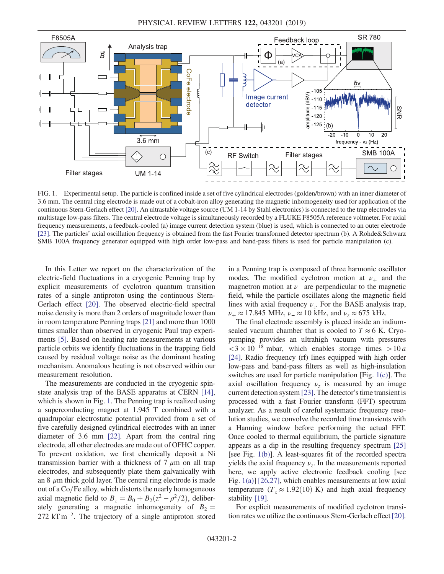<span id="page-1-0"></span>

FIG. 1. Experimental setup. The particle is confined inside a set of five cylindrical electrodes (golden/brown) with an inner diameter of 3.6 mm. The central ring electrode is made out of a cobalt-iron alloy generating the magnetic inhomogeneity used for application of the continuous Stern-Gerlach effect [\[20\].](#page-4-16) An ultrastable voltage source (UM 1-14 by Stahl electronics) is connected to the trap electrodes via multistage low-pass filters. The central electrode voltage is simultaneously recorded by a FLUKE F8505A reference voltmeter. For axial frequency measurements, a feedback-cooled (a) image current detection system (blue) is used, which is connected to an outer electrode [\[23\].](#page-4-21) The particles' axial oscillation frequency is obtained from the fast Fourier transformed detector spectrum (b). A Rohde&Schwarz SMB 100A frequency generator equipped with high order low-pass and band-pass filters is used for particle manipulation (c).

In this Letter we report on the characterization of the electric-field fluctuations in a cryogenic Penning trap by explicit measurements of cyclotron quantum transition rates of a single antiproton using the continuous Stern-Gerlach effect [\[20\].](#page-4-16) The observed electric-field spectral noise density is more than 2 orders of magnitude lower than in room temperature Penning traps [\[21\]](#page-4-17) and more than 1000 times smaller than observed in cryogenic Paul trap experiments [\[5\]](#page-4-18). Based on heating rate measurements at various particle orbits we identify fluctuations in the trapping field caused by residual voltage noise as the dominant heating mechanism. Anomalous heating is not observed within our measurement resolution.

The measurements are conducted in the cryogenic spinstate analysis trap of the BASE apparatus at CERN [\[14\]](#page-4-11), which is shown in Fig. [1.](#page-1-0) The Penning trap is realized using a superconducting magnet at 1.945 T combined with a quadrupolar electrostatic potential provided from a set of five carefully designed cylindrical electrodes with an inner diameter of 3.6 mm [\[22\]](#page-4-19). Apart from the central ring electrode, all other electrodes are made out of OFHC copper. To prevent oxidation, we first chemically deposit a Ni transmission barrier with a thickness of  $7 \mu m$  on all trap electrodes, and subsequently plate them galvanically with an  $8 \mu$ m thick gold layer. The central ring electrode is made out of a Co/Fe alloy, which distorts the nearly homogeneous axial magnetic field to  $B_z = B_0 + B_2(z^2 - \rho^2/2)$ , deliberately generating a magnetic inhomogeneity of  $B_2 =$ 272 kT m<sup>-2</sup>. The trajectory of a single antiproton stored in a Penning trap is composed of three harmonic oscillator modes. The modified cyclotron motion at  $\nu_+$  and the magnetron motion at  $\nu$ <sub>-</sub> are perpendicular to the magnetic field, while the particle oscillates along the magnetic field lines with axial frequency  $\nu_z$ . For the BASE analysis trap,  $\nu_+ \approx 17.845 \text{ MHz}, \nu_- \approx 10 \text{ kHz}, \text{ and } \nu_z \approx 675 \text{ kHz}.$ 

The final electrode assembly is placed inside an indiumsealed vacuum chamber that is cooled to  $T \approx 6$  K. Cryopumping provides an ultrahigh vacuum with pressures  $<$ 3 × 10<sup>-18</sup> mbar, which enables storage times > 10 *a* [\[24\]](#page-4-20). Radio frequency (rf) lines equipped with high order low-pass and band-pass filters as well as high-insulation switches are used for particle manipulation [Fig. [1\(c\)](#page-1-0)]. The axial oscillation frequency  $\nu_z$  is measured by an image current detection system [\[23\].](#page-4-21) The detector's time transient is processed with a fast Fourier transform (FFT) spectrum analyzer. As a result of careful systematic frequency resolution studies, we convolve the recorded time transients with a Hanning window before performing the actual FFT. Once cooled to thermal equilibrium, the particle signature appears as a dip in the resulting frequency spectrum [\[25\]](#page-4-22) [see Fig. [1\(b\)](#page-1-0)]. A least-squares fit of the recorded spectra yields the axial frequency  $\nu_z$ . In the measurements reported here, we apply active electronic feedback cooling [see Fig. [1\(a\)](#page-1-0)] [\[26,27\],](#page-4-23) which enables measurements at low axial temperature ( $T_z \approx 1.92(10)$  K) and high axial frequency stability [\[19\]](#page-4-15).

For explicit measurements of modified cyclotron transition rates we utilize the continuous Stern-Gerlach effect [\[20\]](#page-4-16).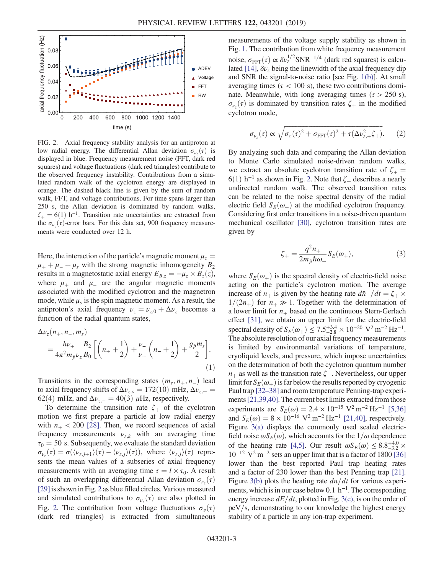<span id="page-2-0"></span>

FIG. 2. Axial frequency stability analysis for an antiproton at low radial energy. The differential Allan deviation  $\sigma_{\nu_z}(\tau)$  is displayed in blue. Frequency measurement noise (FFT, dark red squares) and voltage fluctuations (dark red triangles) contribute to the observed frequency instability. Contributions from a simulated random walk of the cyclotron energy are displayed in orange. The dashed black line is given by the sum of random walk, FFT, and voltage contributions. For time spans larger than 250 s, the Allan deviation is dominated by random walks,  $\zeta_+$  = 6(1) h<sup>-1</sup>. Transition rate uncertainties are extracted from the  $\sigma_{\nu_z}(\tau)$ -error bars. For this data set, 900 frequency measurements were conducted over 12 h.

Here, the interaction of the particle's magnetic moment  $\mu_z$  =  $\mu_{+} + \mu_{-} + \mu_{s}$  with the strong magnetic inhomogeneity  $B_2$ results in a magnetostatic axial energy  $E_{B,z} = -\mu_z \times B_z(z)$ , where  $\mu_+$  and  $\mu_-$  are the angular magnetic moments associated with the modified cyclotron and the magnetron mode, while  $\mu_s$  is the spin magnetic moment. As a result, the antiproton's axial frequency  $\nu_z = \nu_{z,0} + \Delta \nu_z$  becomes a function of the radial quantum states,

$$
\Delta \nu_z(n_+, n_-, m_s) = \frac{h\nu_+}{4\pi^2 m_{\bar{p}} \nu_z} \frac{B_2}{B_0} \left[ \left( n_+ + \frac{1}{2} \right) + \frac{\nu_-}{\nu_+} \left( n_- + \frac{1}{2} \right) + \frac{g_{\bar{p}} m_s}{2} \right].
$$
\n(1)

Transitions in the corresponding states  $(m_s, n_+, n_-)$  lead to axial frequency shifts of  $\Delta\nu_{z,s}=172(10)\,$  mHz,  $\Delta\nu_{z,+}=$ 62(4) mHz, and  $\Delta \nu_{z,-} = 40(3)$  µHz, respectively.

To determine the transition rate  $\zeta_+$  of the cyclotron motion we first prepare a particle at low radial energy with  $n_+ < 200$  [\[28\].](#page-4-24) Then, we record sequences of axial frequency measurements  $v_{z,k}$  with an averaging time  $\tau_0 = 50$  s. Subsequently, we evaluate the standard deviation  $\sigma_{\nu_z}(\tau) = \sigma(\langle \nu_{z,j+1} \rangle(\tau) - \langle \nu_{z,j} \rangle(\tau)),$  where  $\langle \nu_{z,j} \rangle(\tau)$  represents the mean values of a subseries of axial frequency measurements with an averaging time  $\tau = l \times \tau_0$ . A result of such an overlapping differential Allan deviation  $\sigma_{\nu_z}(\tau)$ [\[29\]](#page-4-25)is shown in Fig. [2](#page-2-0) as blue filled circles. Various measured and simulated contributions to  $\sigma_{\nu_z}(\tau)$  are also plotted in Fig. [2](#page-2-0). The contribution from voltage fluctuations  $\sigma_{\nu}(\tau)$ (dark red triangles) is extracted from simultaneous measurements of the voltage supply stability as shown in Fig. [1.](#page-1-0) The contribution from white frequency measurement noise,  $\sigma_{\text{FFT}}(\tau) \propto \delta \nu_z^{1/2} \text{SNR}^{-1/4}$  (dark red squares) is calcu-lated [\[14\]](#page-4-11),  $\delta \nu_z$  being the linewidth of the axial frequency dip and SNR the signal-to-noise ratio [see Fig. [1\(b\)\]](#page-1-0). At small averaging times ( $\tau$  < 100 s), these two contributions dominate. Meanwhile, with long averaging times ( $\tau > 250$  s),  $\sigma_{\nu_z}(\tau)$  is dominated by transition rates  $\zeta_+$  in the modified cyclotron mode,

<span id="page-2-1"></span>
$$
\sigma_{\nu_z}(\tau) \propto \sqrt{\sigma_v(\tau)^2 + \sigma_{\text{FFT}}(\tau)^2 + \tau(\Delta \nu_{z,+}^2 \zeta_+)}.
$$
 (2)

By analyzing such data and comparing the Allan deviation to Monte Carlo simulated noise-driven random walks, we extract an absolute cyclotron transition rate of  $\zeta_+$ 6(1) h<sup>-1</sup> as shown in Fig. [2](#page-2-0). Note that  $\zeta_+$  describes a nearly undirected random walk. The observed transition rates can be related to the noise spectral density of the radial electric field  $S_F(\omega_+)$  at the modified cyclotron frequency. Considering first order transitions in a noise-driven quantum mechanical oscillator [\[30\]](#page-4-26), cyclotron transition rates are given by

$$
\zeta_{+} = \frac{q^2 n_{+}}{2m_{\bar{p}}\hbar\omega_{+}} S_{E}(\omega_{+}),\tag{3}
$$

<span id="page-2-2"></span>where  $S_E(\omega_+)$  is the spectral density of electric-field noise acting on the particle's cyclotron motion. The average increase of  $n_+$  is given by the heating rate  $d\bar{n}_+/dt = \zeta_+ \times$  $1/(2n_+)$  for  $n_+ \gg 1$ . Together with the determination of a lower limit for  $n_+$  based on the continuous Stern-Gerlach effect [\[31\],](#page-4-27) we obtain an upper limit for the electric-field spectral density of  $S_E(\omega_+) \leq 7.5^{+3.4}_{-2.8} \times 10^{-20}$  V<sup>2</sup> m<sup>-2</sup> Hz<sup>-1</sup>. The absolute resolution of our axial frequency measurements is limited by environmental variations of temperature, cryoliquid levels, and pressure, which impose uncertainties on the determination of both the cyclotron quantum number  $n<sub>+</sub>$  as well as the transition rate  $\zeta$ <sub>+</sub>. Nevertheless, our upper limit for  $S_E(\omega_+)$  is far below the results reported by cryogenic Paul trap [32–[38\]](#page-4-28) and room temperature Penning-trap experi-ments [\[21,39,40\]](#page-4-17). The current best limits extracted from those experiments are  $S_E(\omega) = 2.4 \times 10^{-15} \text{ V}^2 \text{ m}^{-2} \text{ Hz}^{-1}$  [\[5,36\]](#page-4-18) and  $S_F(\omega) = 8 \times 10^{-16}$  V<sup>2</sup> m<sup>-2</sup> Hz<sup>-1</sup> [\[21,40\],](#page-4-17) respectively. Figure [3\(a\)](#page-3-0) displays the commonly used scaled electricfield noise  $\omega S_E(\omega)$ , which accounts for the  $1/\omega$  dependence of the heating rate [\[4,5\]](#page-4-4). Our result  $\omega S_E(\omega) \leq 8.8^{+4.0}_{-3.2} \times$  $10^{-12}$  V<sup>2</sup> m<sup>-2</sup> sets an upper limit that is a factor of 1800 [\[36\]](#page-4-29) lower than the best reported Paul trap heating rates and a factor of 230 lower than the best Penning trap [\[21\]](#page-4-17). Figure [3\(b\)](#page-3-0) plots the heating rate  $d\bar{n}/dt$  for various experiments, which is in our case below 0.1  $h^{-1}$ . The corresponding energy increase  $dE/dt$ , plotted in Fig. [3\(c\),](#page-3-0) is on the order of  $peV/s$ , demonstrating to our knowledge the highest energy stability of a particle in any ion-trap experiment.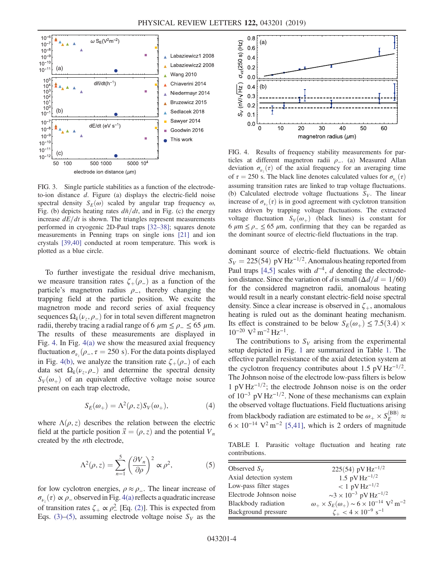<span id="page-3-0"></span>

FIG. 3. Single particle stabilities as a function of the electrodeto-ion distance d. Figure (a) displays the electric-field noise spectral density  $S_E(\omega)$  scaled by angular trap frequency  $\omega$ , Fig. (b) depicts heating rates  $d\bar{n}/dt$ , and in Fig. (c) the energy increase  $dE/dt$  is shown. The triangles represent measurements performed in cryogenic 2D-Paul traps [32–[38\];](#page-4-28) squares denote measurements in Penning traps on single ions [\[21\]](#page-4-17) and ion crystals [\[39,40\]](#page-4-30) conducted at room temperature. This work is plotted as a blue circle.

To further investigate the residual drive mechanism, we measure transition rates  $\zeta_+(\rho_-)$  as a function of the particle's magnetron radius  $\rho_$ , thereby changing the trapping field at the particle position. We excite the magnetron mode and record series of axial frequency sequences  $\Omega_k(\nu_{z}, \rho_{-})$  for in total seven different magnetron radii, thereby tracing a radial range of 6  $\mu$ m  $\leq \rho$  =  $\leq$  65  $\mu$ m. The results of these measurements are displayed in Fig. [4.](#page-3-1) In Fig. [4\(a\)](#page-3-1) we show the measured axial frequency fluctuation  $\sigma_{\nu_z}(\rho_-, \tau = 250 \text{ s})$ . For the data points displayed in Fig. [4\(b\)](#page-3-1), we analyze the transition rate  $\zeta_+ (\rho_-)$  of each data set  $\Omega_k(\nu_\tau, \rho_-)$  and determine the spectral density  $S_V(\omega_+)$  of an equivalent effective voltage noise source present on each trap electrode,

$$
S_E(\omega_+) = \Lambda^2(\rho, z) S_V(\omega_+), \tag{4}
$$

<span id="page-3-2"></span>where  $\Lambda(\rho, z)$  describes the relation between the electric field at the particle position  $\vec{x} = (\rho, z)$  and the potential  $V_n$ created by the nth electrode,

$$
\Lambda^2(\rho, z) = \sum_{n=1}^5 \left(\frac{\partial V_n}{\partial \rho}\right)^2 \propto \rho^2,\tag{5}
$$

for low cyclotron energies,  $\rho \approx \rho_{-}$ . The linear increase of  $\sigma_{\nu_z}(\tau) \propto \rho_-$  observed in Fig. [4\(a\)](#page-3-1) reflects a quadratic increase of transition rates  $\zeta_+ \propto \rho_-^2$  [Eq. [\(2\)\]](#page-2-1). This is expected from Eqs. [\(3\)](#page-2-2)–[\(5\)](#page-3-2), assuming electrode voltage noise  $S_V$  as the

<span id="page-3-1"></span>

FIG. 4. Results of frequency stability measurements for particles at different magnetron radii  $\rho$ \_. (a) Measured Allan deviation  $\sigma_{\nu_z}(\tau)$  of the axial frequency for an averaging time of  $\tau = 250$  s. The black line denotes calculated values for  $\sigma_{\nu_z}(\tau)$ assuming transition rates are linked to trap voltage fluctuations. (b) Calculated electrode voltage fluctuations  $S_V$ . The linear increase of  $\sigma_{\nu_z}(\tau)$  is in good agreement with cyclotron transition rates driven by trapping voltage fluctuations. The extracted voltage fluctuation  $S_V(\omega_+)$  (black lines) is constant for 6  $\mu$ m  $\leq \rho$   $\leq$  65  $\mu$ m, confirming that they can be regarded as the dominant source of electric-field fluctuations in the trap.

dominant source of electric-field fluctuations. We obtain  $S_V = 225(54) \text{ pV Hz}^{-1/2}$ . Anomalous heating reported from Paul traps [\[4,5\]](#page-4-4) scales with  $d^{-4}$ , d denoting the electrodeion distance. Since the variation of d is small  $(\Delta d/d = 1/60)$ for the considered magnetron radii, anomalous heating would result in a nearly constant electric-field noise spectral density. Since a clear increase is observed in  $\zeta_{+}$ , anomalous heating is ruled out as the dominant heating mechanism. Its effect is constrained to be below  $S_F(\omega) \leq 7.5(3.4) \times$  $10^{-20}$  V<sup>2</sup> m<sup>-2</sup> Hz<sup>-1</sup>.

The contributions to  $S_V$  arising from the experimental setup depicted in Fig. [1](#page-1-0) are summarized in Table [1](#page-3-3). The effective parallel resistance of the axial detection system at the cyclotron frequency contributes about 1.5 pV Hz<sup>-1/2</sup>. The Johnson noise of the electrode low-pass filters is below 1 pV Hz<sup>-1/2</sup>; the electrode Johnson noise is on the order of  $10^{-3}$  pV Hz<sup>-1/2</sup>. None of these mechanisms can explain the observed voltage fluctuations. Field fluctuations arising from blackbody radiation are estimated to be  $\omega_+ \times S_E^{(BB)} \approx$  $6 \times 10^{-14}$  V<sup>2</sup> m<sup>-2</sup> [\[5,41\],](#page-4-18) which is 2 orders of magnitude

<span id="page-3-3"></span>TABLE I. Parasitic voltage fluctuation and heating rate contributions.

| Observed $S_V$          | $225(54)$ pV Hz <sup>-1/2</sup>                                                   |
|-------------------------|-----------------------------------------------------------------------------------|
| Axial detection system  | 1.5 pV $\rm Hz^{-1/2}$                                                            |
| Low-pass filter stages  | $< 1$ pV Hz <sup>-1/2</sup>                                                       |
| Electrode Johnson noise | $\sim$ 3 × 10 <sup>-3</sup> pV Hz <sup>-1/2</sup>                                 |
| Blackbody radiation     | $\omega_+ \times S_E(\omega_+) \sim 6 \times 10^{-14} \text{ V}^2 \text{ m}^{-2}$ |
| Background pressure     | $\zeta_{+}$ < 4 × 10 <sup>-9</sup> s <sup>-1</sup>                                |